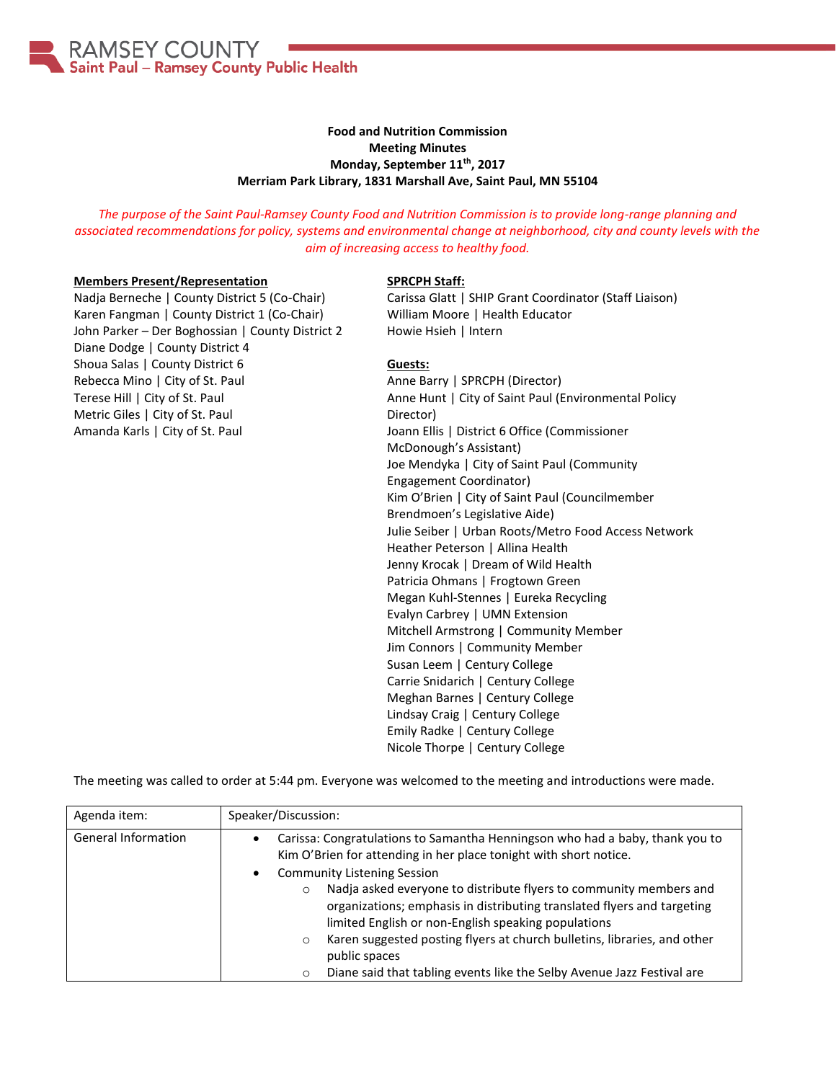

## **Food and Nutrition Commission Meeting Minutes Monday, September 11th, 2017 Merriam Park Library, 1831 Marshall Ave, Saint Paul, MN 55104**

*The purpose of the Saint Paul-Ramsey County Food and Nutrition Commission is to provide long-range planning and associated recommendations for policy, systems and environmental change at neighborhood, city and county levels with the aim of increasing access to healthy food.*

### **Members Present/Representation**

Nadja Berneche | County District 5 (Co-Chair) Karen Fangman | County District 1 (Co-Chair) John Parker – Der Boghossian | County District 2 Diane Dodge | County District 4 Shoua Salas | County District 6 Rebecca Mino | City of St. Paul Terese Hill | City of St. Paul Metric Giles | City of St. Paul Amanda Karls | City of St. Paul

#### **SPRCPH Staff:**

Carissa Glatt | SHIP Grant Coordinator (Staff Liaison) William Moore | Health Educator Howie Hsieh | Intern

#### **Guests:**

Anne Barry | SPRCPH (Director) Anne Hunt | City of Saint Paul (Environmental Policy Director) Joann Ellis | District 6 Office (Commissioner McDonough's Assistant) Joe Mendyka | City of Saint Paul (Community Engagement Coordinator) Kim O'Brien | City of Saint Paul (Councilmember Brendmoen's Legislative Aide) Julie Seiber | Urban Roots/Metro Food Access Network Heather Peterson | Allina Health Jenny Krocak | Dream of Wild Health Patricia Ohmans | Frogtown Green Megan Kuhl-Stennes | Eureka Recycling Evalyn Carbrey | UMN Extension Mitchell Armstrong | Community Member Jim Connors | Community Member Susan Leem | Century College Carrie Snidarich | Century College Meghan Barnes | Century College Lindsay Craig | Century College Emily Radke | Century College Nicole Thorpe | Century College

The meeting was called to order at 5:44 pm. Everyone was welcomed to the meeting and introductions were made.

| Agenda item:               | Speaker/Discussion:                                                                                                                                                                                                                                                                                                               |
|----------------------------|-----------------------------------------------------------------------------------------------------------------------------------------------------------------------------------------------------------------------------------------------------------------------------------------------------------------------------------|
| <b>General Information</b> | Carissa: Congratulations to Samantha Henningson who had a baby, thank you to<br>Kim O'Brien for attending in her place tonight with short notice.                                                                                                                                                                                 |
|                            | <b>Community Listening Session</b><br>Nadja asked everyone to distribute flyers to community members and<br>$\circ$<br>organizations; emphasis in distributing translated flyers and targeting<br>limited English or non-English speaking populations<br>Karen suggested posting flyers at church bulletins, libraries, and other |
|                            | $\circ$<br>public spaces<br>Diane said that tabling events like the Selby Avenue Jazz Festival are<br>$\circ$                                                                                                                                                                                                                     |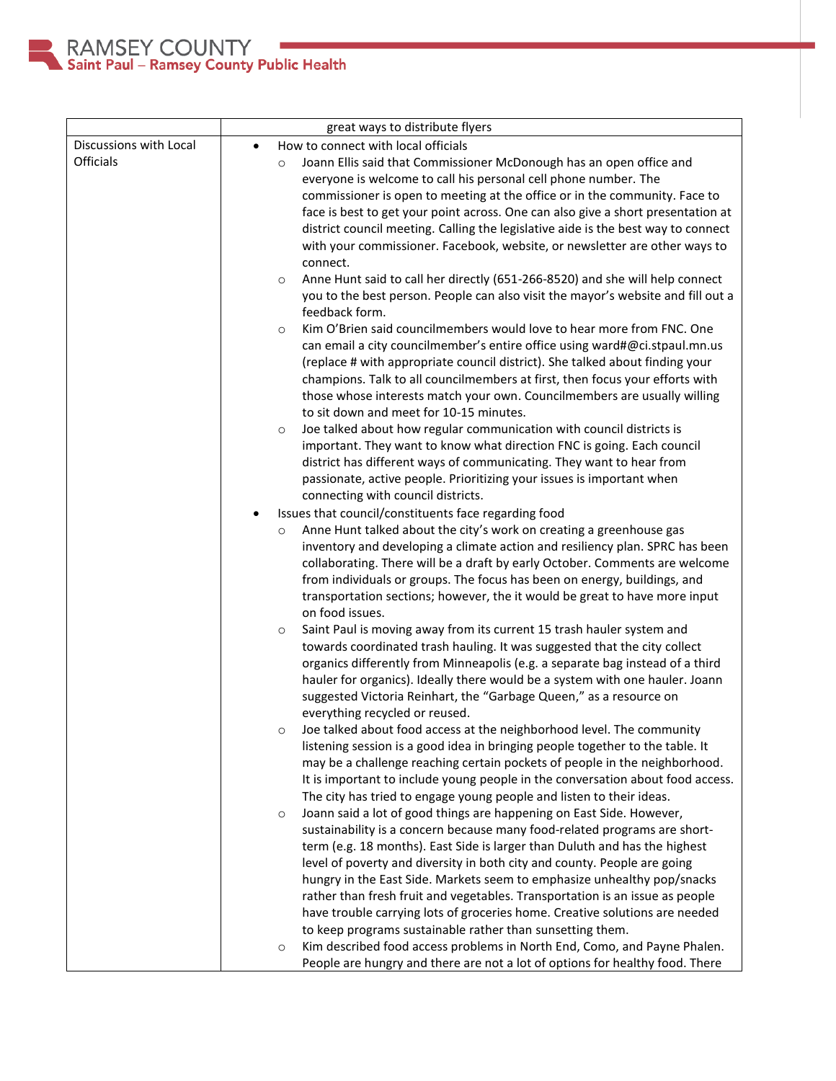

|                        | great ways to distribute flyers                                                         |
|------------------------|-----------------------------------------------------------------------------------------|
| Discussions with Local | How to connect with local officials<br>$\bullet$                                        |
| Officials              | Joann Ellis said that Commissioner McDonough has an open office and<br>$\circ$          |
|                        | everyone is welcome to call his personal cell phone number. The                         |
|                        | commissioner is open to meeting at the office or in the community. Face to              |
|                        | face is best to get your point across. One can also give a short presentation at        |
|                        | district council meeting. Calling the legislative aide is the best way to connect       |
|                        | with your commissioner. Facebook, website, or newsletter are other ways to              |
|                        | connect.                                                                                |
|                        | Anne Hunt said to call her directly (651-266-8520) and she will help connect<br>$\circ$ |
|                        | you to the best person. People can also visit the mayor's website and fill out a        |
|                        | feedback form.                                                                          |
|                        | Kim O'Brien said councilmembers would love to hear more from FNC. One<br>$\circ$        |
|                        | can email a city councilmember's entire office using ward#@ci.stpaul.mn.us              |
|                        | (replace # with appropriate council district). She talked about finding your            |
|                        | champions. Talk to all councilmembers at first, then focus your efforts with            |
|                        | those whose interests match your own. Councilmembers are usually willing                |
|                        | to sit down and meet for 10-15 minutes.                                                 |
|                        | Joe talked about how regular communication with council districts is<br>$\circ$         |
|                        | important. They want to know what direction FNC is going. Each council                  |
|                        | district has different ways of communicating. They want to hear from                    |
|                        | passionate, active people. Prioritizing your issues is important when                   |
|                        | connecting with council districts.                                                      |
|                        | Issues that council/constituents face regarding food                                    |
|                        | Anne Hunt talked about the city's work on creating a greenhouse gas<br>$\circ$          |
|                        | inventory and developing a climate action and resiliency plan. SPRC has been            |
|                        | collaborating. There will be a draft by early October. Comments are welcome             |
|                        | from individuals or groups. The focus has been on energy, buildings, and                |
|                        | transportation sections; however, the it would be great to have more input              |
|                        | on food issues.                                                                         |
|                        | Saint Paul is moving away from its current 15 trash hauler system and<br>$\circ$        |
|                        | towards coordinated trash hauling. It was suggested that the city collect               |
|                        | organics differently from Minneapolis (e.g. a separate bag instead of a third           |
|                        | hauler for organics). Ideally there would be a system with one hauler. Joann            |
|                        | suggested Victoria Reinhart, the "Garbage Queen," as a resource on                      |
|                        | everything recycled or reused.                                                          |
|                        | Joe talked about food access at the neighborhood level. The community                   |
|                        | listening session is a good idea in bringing people together to the table. It           |
|                        | may be a challenge reaching certain pockets of people in the neighborhood.              |
|                        | It is important to include young people in the conversation about food access.          |
|                        | The city has tried to engage young people and listen to their ideas.                    |
|                        | Joann said a lot of good things are happening on East Side. However,<br>$\circ$         |
|                        | sustainability is a concern because many food-related programs are short-               |
|                        | term (e.g. 18 months). East Side is larger than Duluth and has the highest              |
|                        | level of poverty and diversity in both city and county. People are going                |
|                        | hungry in the East Side. Markets seem to emphasize unhealthy pop/snacks                 |
|                        | rather than fresh fruit and vegetables. Transportation is an issue as people            |
|                        | have trouble carrying lots of groceries home. Creative solutions are needed             |
|                        | to keep programs sustainable rather than sunsetting them.                               |
|                        | Kim described food access problems in North End, Como, and Payne Phalen.<br>$\circ$     |
|                        | People are hungry and there are not a lot of options for healthy food. There            |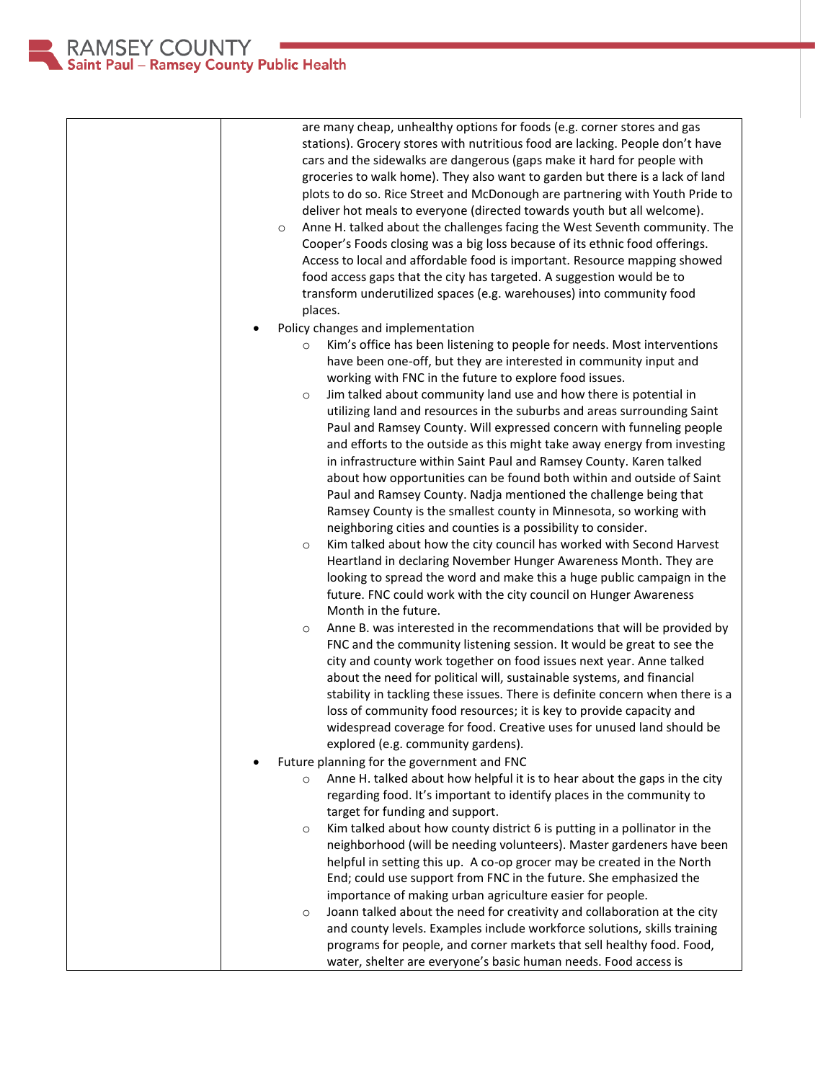RAMSEY COUNTY<br>Saint Paul – Ramsey County Public Health

| are many cheap, unhealthy options for foods (e.g. corner stores and gas<br>stations). Grocery stores with nutritious food are lacking. People don't have<br>cars and the sidewalks are dangerous (gaps make it hard for people with<br>groceries to walk home). They also want to garden but there is a lack of land<br>plots to do so. Rice Street and McDonough are partnering with Youth Pride to<br>deliver hot meals to everyone (directed towards youth but all welcome).<br>Anne H. talked about the challenges facing the West Seventh community. The<br>$\circ$<br>Cooper's Foods closing was a big loss because of its ethnic food offerings.<br>Access to local and affordable food is important. Resource mapping showed<br>food access gaps that the city has targeted. A suggestion would be to<br>transform underutilized spaces (e.g. warehouses) into community food<br>places.                                                                                                                                                                                                                                                                  |
|-------------------------------------------------------------------------------------------------------------------------------------------------------------------------------------------------------------------------------------------------------------------------------------------------------------------------------------------------------------------------------------------------------------------------------------------------------------------------------------------------------------------------------------------------------------------------------------------------------------------------------------------------------------------------------------------------------------------------------------------------------------------------------------------------------------------------------------------------------------------------------------------------------------------------------------------------------------------------------------------------------------------------------------------------------------------------------------------------------------------------------------------------------------------|
|                                                                                                                                                                                                                                                                                                                                                                                                                                                                                                                                                                                                                                                                                                                                                                                                                                                                                                                                                                                                                                                                                                                                                                   |
| Policy changes and implementation<br>Kim's office has been listening to people for needs. Most interventions<br>$\circ$<br>have been one-off, but they are interested in community input and<br>working with FNC in the future to explore food issues.<br>Jim talked about community land use and how there is potential in<br>$\circ$<br>utilizing land and resources in the suburbs and areas surrounding Saint<br>Paul and Ramsey County. Will expressed concern with funneling people<br>and efforts to the outside as this might take away energy from investing<br>in infrastructure within Saint Paul and Ramsey County. Karen talked<br>about how opportunities can be found both within and outside of Saint<br>Paul and Ramsey County. Nadja mentioned the challenge being that<br>Ramsey County is the smallest county in Minnesota, so working with<br>neighboring cities and counties is a possibility to consider.<br>Kim talked about how the city council has worked with Second Harvest<br>$\circ$<br>Heartland in declaring November Hunger Awareness Month. They are<br>looking to spread the word and make this a huge public campaign in the |
| future. FNC could work with the city council on Hunger Awareness                                                                                                                                                                                                                                                                                                                                                                                                                                                                                                                                                                                                                                                                                                                                                                                                                                                                                                                                                                                                                                                                                                  |
| Month in the future.                                                                                                                                                                                                                                                                                                                                                                                                                                                                                                                                                                                                                                                                                                                                                                                                                                                                                                                                                                                                                                                                                                                                              |
| Anne B. was interested in the recommendations that will be provided by<br>$\circ$<br>FNC and the community listening session. It would be great to see the<br>city and county work together on food issues next year. Anne talked<br>about the need for political will, sustainable systems, and financial<br>stability in tackling these issues. There is definite concern when there is a<br>loss of community food resources; it is key to provide capacity and<br>widespread coverage for food. Creative uses for unused land should be<br>explored (e.g. community gardens).                                                                                                                                                                                                                                                                                                                                                                                                                                                                                                                                                                                 |
|                                                                                                                                                                                                                                                                                                                                                                                                                                                                                                                                                                                                                                                                                                                                                                                                                                                                                                                                                                                                                                                                                                                                                                   |
| Future planning for the government and FNC                                                                                                                                                                                                                                                                                                                                                                                                                                                                                                                                                                                                                                                                                                                                                                                                                                                                                                                                                                                                                                                                                                                        |
| Anne H. talked about how helpful it is to hear about the gaps in the city<br>$\circ$<br>regarding food. It's important to identify places in the community to<br>target for funding and support.                                                                                                                                                                                                                                                                                                                                                                                                                                                                                                                                                                                                                                                                                                                                                                                                                                                                                                                                                                  |
| Kim talked about how county district 6 is putting in a pollinator in the<br>$\circ$<br>neighborhood (will be needing volunteers). Master gardeners have been<br>helpful in setting this up. A co-op grocer may be created in the North<br>End; could use support from FNC in the future. She emphasized the<br>importance of making urban agriculture easier for people.                                                                                                                                                                                                                                                                                                                                                                                                                                                                                                                                                                                                                                                                                                                                                                                          |
| Joann talked about the need for creativity and collaboration at the city<br>$\circ$                                                                                                                                                                                                                                                                                                                                                                                                                                                                                                                                                                                                                                                                                                                                                                                                                                                                                                                                                                                                                                                                               |
| and county levels. Examples include workforce solutions, skills training                                                                                                                                                                                                                                                                                                                                                                                                                                                                                                                                                                                                                                                                                                                                                                                                                                                                                                                                                                                                                                                                                          |
| programs for people, and corner markets that sell healthy food. Food,<br>water, shelter are everyone's basic human needs. Food access is                                                                                                                                                                                                                                                                                                                                                                                                                                                                                                                                                                                                                                                                                                                                                                                                                                                                                                                                                                                                                          |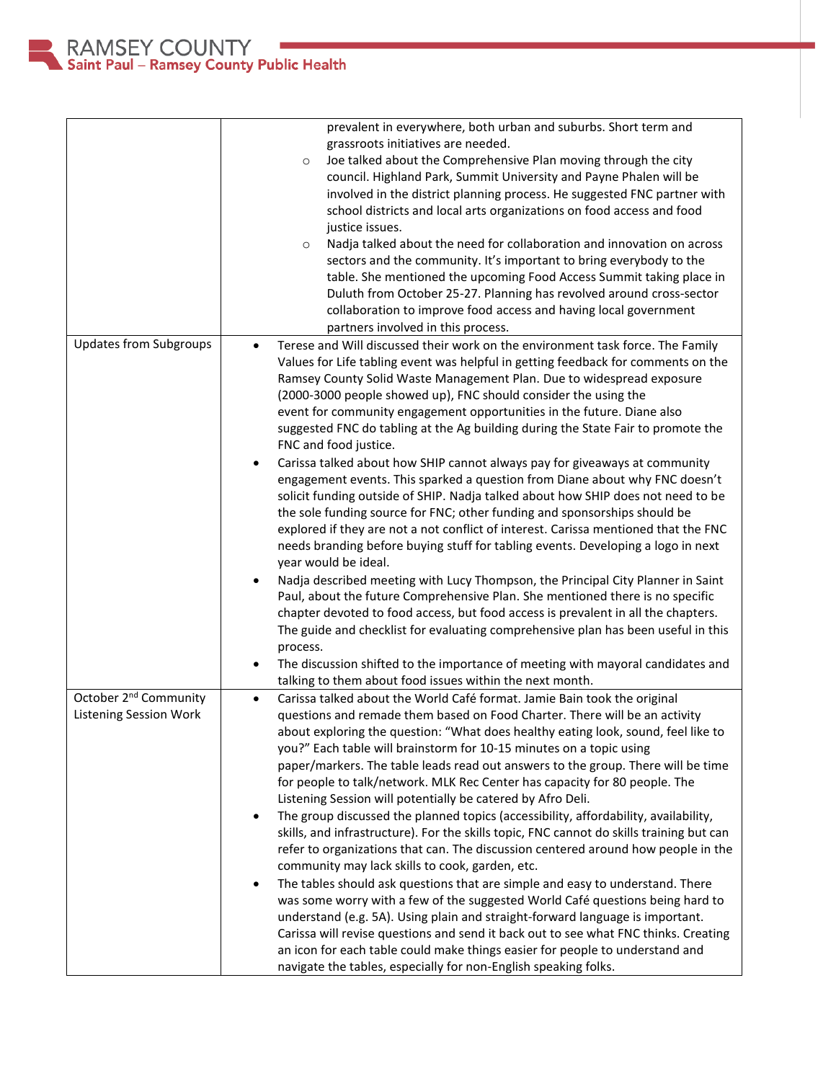|                                                                    | prevalent in everywhere, both urban and suburbs. Short term and<br>grassroots initiatives are needed.<br>Joe talked about the Comprehensive Plan moving through the city<br>$\circ$<br>council. Highland Park, Summit University and Payne Phalen will be<br>involved in the district planning process. He suggested FNC partner with<br>school districts and local arts organizations on food access and food<br>justice issues.<br>Nadja talked about the need for collaboration and innovation on across<br>$\circ$<br>sectors and the community. It's important to bring everybody to the<br>table. She mentioned the upcoming Food Access Summit taking place in<br>Duluth from October 25-27. Planning has revolved around cross-sector<br>collaboration to improve food access and having local government<br>partners involved in this process.                                                                                                                                                                                                                                                                                                                                                                                                                                                                                                                                                                                  |
|--------------------------------------------------------------------|------------------------------------------------------------------------------------------------------------------------------------------------------------------------------------------------------------------------------------------------------------------------------------------------------------------------------------------------------------------------------------------------------------------------------------------------------------------------------------------------------------------------------------------------------------------------------------------------------------------------------------------------------------------------------------------------------------------------------------------------------------------------------------------------------------------------------------------------------------------------------------------------------------------------------------------------------------------------------------------------------------------------------------------------------------------------------------------------------------------------------------------------------------------------------------------------------------------------------------------------------------------------------------------------------------------------------------------------------------------------------------------------------------------------------------------|
| <b>Updates from Subgroups</b>                                      | Terese and Will discussed their work on the environment task force. The Family<br>$\bullet$<br>Values for Life tabling event was helpful in getting feedback for comments on the<br>Ramsey County Solid Waste Management Plan. Due to widespread exposure<br>(2000-3000 people showed up), FNC should consider the using the<br>event for community engagement opportunities in the future. Diane also<br>suggested FNC do tabling at the Ag building during the State Fair to promote the<br>FNC and food justice.<br>Carissa talked about how SHIP cannot always pay for giveaways at community<br>$\bullet$<br>engagement events. This sparked a question from Diane about why FNC doesn't<br>solicit funding outside of SHIP. Nadja talked about how SHIP does not need to be<br>the sole funding source for FNC; other funding and sponsorships should be<br>explored if they are not a not conflict of interest. Carissa mentioned that the FNC<br>needs branding before buying stuff for tabling events. Developing a logo in next<br>year would be ideal.<br>Nadja described meeting with Lucy Thompson, the Principal City Planner in Saint<br>$\bullet$<br>Paul, about the future Comprehensive Plan. She mentioned there is no specific<br>chapter devoted to food access, but food access is prevalent in all the chapters.<br>The guide and checklist for evaluating comprehensive plan has been useful in this<br>process. |
|                                                                    | The discussion shifted to the importance of meeting with mayoral candidates and<br>talking to them about food issues within the next month.                                                                                                                                                                                                                                                                                                                                                                                                                                                                                                                                                                                                                                                                                                                                                                                                                                                                                                                                                                                                                                                                                                                                                                                                                                                                                              |
| October 2 <sup>nd</sup> Community<br><b>Listening Session Work</b> | Carissa talked about the World Café format. Jamie Bain took the original<br>$\bullet$<br>questions and remade them based on Food Charter. There will be an activity<br>about exploring the question: "What does healthy eating look, sound, feel like to<br>you?" Each table will brainstorm for 10-15 minutes on a topic using<br>paper/markers. The table leads read out answers to the group. There will be time<br>for people to talk/network. MLK Rec Center has capacity for 80 people. The<br>Listening Session will potentially be catered by Afro Deli.<br>The group discussed the planned topics (accessibility, affordability, availability,<br>$\bullet$<br>skills, and infrastructure). For the skills topic, FNC cannot do skills training but can<br>refer to organizations that can. The discussion centered around how people in the<br>community may lack skills to cook, garden, etc.<br>The tables should ask questions that are simple and easy to understand. There<br>$\bullet$<br>was some worry with a few of the suggested World Café questions being hard to<br>understand (e.g. 5A). Using plain and straight-forward language is important.<br>Carissa will revise questions and send it back out to see what FNC thinks. Creating<br>an icon for each table could make things easier for people to understand and<br>navigate the tables, especially for non-English speaking folks.                       |